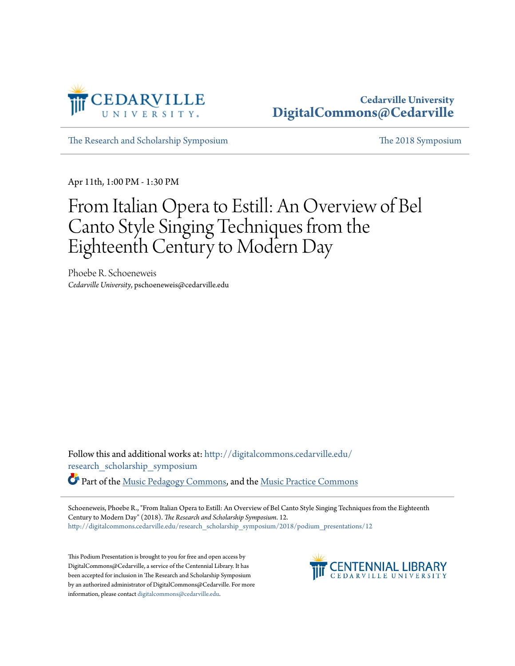

## **Cedarville University [DigitalCommons@Cedarville](http://digitalcommons.cedarville.edu?utm_source=digitalcommons.cedarville.edu%2Fresearch_scholarship_symposium%2F2018%2Fpodium_presentations%2F12&utm_medium=PDF&utm_campaign=PDFCoverPages)**

[The Research and Scholarship Symposium](http://digitalcommons.cedarville.edu/research_scholarship_symposium?utm_source=digitalcommons.cedarville.edu%2Fresearch_scholarship_symposium%2F2018%2Fpodium_presentations%2F12&utm_medium=PDF&utm_campaign=PDFCoverPages) [The 2018 Symposium](http://digitalcommons.cedarville.edu/research_scholarship_symposium/2018?utm_source=digitalcommons.cedarville.edu%2Fresearch_scholarship_symposium%2F2018%2Fpodium_presentations%2F12&utm_medium=PDF&utm_campaign=PDFCoverPages)

Apr 11th, 1:00 PM - 1:30 PM

## From Italian Opera to Estill: An Overview of Bel Canto Style Singing Techniques from the Eighteenth Century to Modern Day

Phoebe R. Schoeneweis *Cedarville University*, pschoeneweis@cedarville.edu

Follow this and additional works at: [http://digitalcommons.cedarville.edu/](http://digitalcommons.cedarville.edu/research_scholarship_symposium?utm_source=digitalcommons.cedarville.edu%2Fresearch_scholarship_symposium%2F2018%2Fpodium_presentations%2F12&utm_medium=PDF&utm_campaign=PDFCoverPages) [research\\_scholarship\\_symposium](http://digitalcommons.cedarville.edu/research_scholarship_symposium?utm_source=digitalcommons.cedarville.edu%2Fresearch_scholarship_symposium%2F2018%2Fpodium_presentations%2F12&utm_medium=PDF&utm_campaign=PDFCoverPages)

Part of the [Music Pedagogy Commons](http://network.bepress.com/hgg/discipline/1129?utm_source=digitalcommons.cedarville.edu%2Fresearch_scholarship_symposium%2F2018%2Fpodium_presentations%2F12&utm_medium=PDF&utm_campaign=PDFCoverPages), and the [Music Practice Commons](http://network.bepress.com/hgg/discipline/523?utm_source=digitalcommons.cedarville.edu%2Fresearch_scholarship_symposium%2F2018%2Fpodium_presentations%2F12&utm_medium=PDF&utm_campaign=PDFCoverPages)

Schoeneweis, Phoebe R., "From Italian Opera to Estill: An Overview of Bel Canto Style Singing Techniques from the Eighteenth Century to Modern Day" (2018). *The Research and Scholarship Symposium*. 12. [http://digitalcommons.cedarville.edu/research\\_scholarship\\_symposium/2018/podium\\_presentations/12](http://digitalcommons.cedarville.edu/research_scholarship_symposium/2018/podium_presentations/12?utm_source=digitalcommons.cedarville.edu%2Fresearch_scholarship_symposium%2F2018%2Fpodium_presentations%2F12&utm_medium=PDF&utm_campaign=PDFCoverPages)

This Podium Presentation is brought to you for free and open access by DigitalCommons@Cedarville, a service of the Centennial Library. It has been accepted for inclusion in The Research and Scholarship Symposium by an authorized administrator of DigitalCommons@Cedarville. For more information, please contact [digitalcommons@cedarville.edu.](mailto:digitalcommons@cedarville.edu)

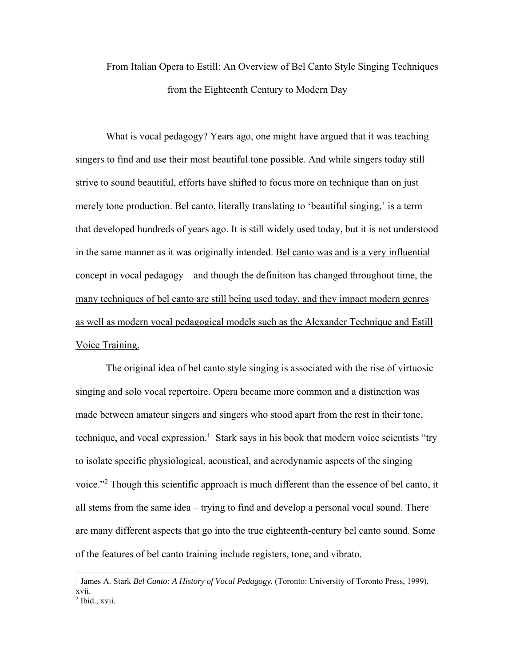## From Italian Opera to Estill: An Overview of Bel Canto Style Singing Techniques from the Eighteenth Century to Modern Day

What is vocal pedagogy? Years ago, one might have argued that it was teaching singers to find and use their most beautiful tone possible. And while singers today still strive to sound beautiful, efforts have shifted to focus more on technique than on just merely tone production. Bel canto, literally translating to 'beautiful singing,' is a term that developed hundreds of years ago. It is still widely used today, but it is not understood in the same manner as it was originally intended. Bel canto was and is a very influential concept in vocal pedagogy – and though the definition has changed throughout time, the many techniques of bel canto are still being used today, and they impact modern genres as well as modern vocal pedagogical models such as the Alexander Technique and Estill Voice Training.

The original idea of bel canto style singing is associated with the rise of virtuosic singing and solo vocal repertoire. Opera became more common and a distinction was made between amateur singers and singers who stood apart from the rest in their tone, technique, and vocal expression.<sup>1</sup> Stark says in his book that modern voice scientists "try to isolate specific physiological, acoustical, and aerodynamic aspects of the singing voice."<sup>2</sup> Though this scientific approach is much different than the essence of bel canto, it all stems from the same idea – trying to find and develop a personal vocal sound. There are many different aspects that go into the true eighteenth-century bel canto sound. Some of the features of bel canto training include registers, tone, and vibrato.

<sup>&</sup>lt;sup>1</sup> James A. Stark *Bel Canto: A History of Vocal Pedagogy*. (Toronto: University of Toronto Press, 1999), xvii.

<sup>2</sup> Ibid., xvii.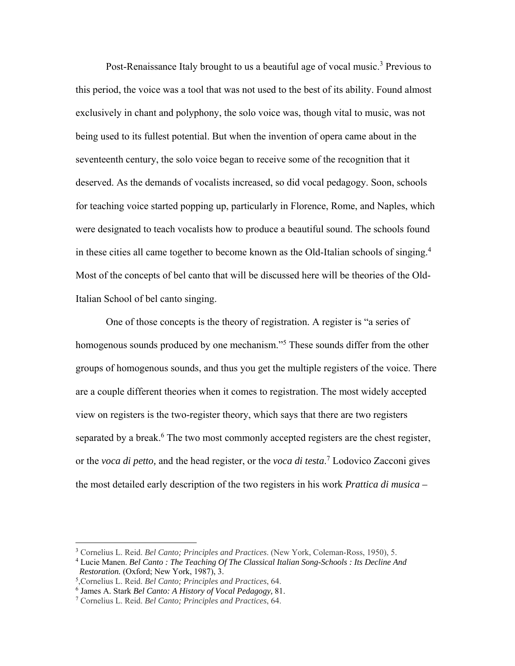Post-Renaissance Italy brought to us a beautiful age of vocal music.<sup>3</sup> Previous to this period, the voice was a tool that was not used to the best of its ability. Found almost exclusively in chant and polyphony, the solo voice was, though vital to music, was not being used to its fullest potential. But when the invention of opera came about in the seventeenth century, the solo voice began to receive some of the recognition that it deserved. As the demands of vocalists increased, so did vocal pedagogy. Soon, schools for teaching voice started popping up, particularly in Florence, Rome, and Naples, which were designated to teach vocalists how to produce a beautiful sound. The schools found in these cities all came together to become known as the Old-Italian schools of singing.<sup>4</sup> Most of the concepts of bel canto that will be discussed here will be theories of the Old-Italian School of bel canto singing.

One of those concepts is the theory of registration. A register is "a series of homogenous sounds produced by one mechanism."<sup>5</sup> These sounds differ from the other groups of homogenous sounds, and thus you get the multiple registers of the voice. There are a couple different theories when it comes to registration. The most widely accepted view on registers is the two-register theory, which says that there are two registers separated by a break.<sup>6</sup> The two most commonly accepted registers are the chest register, or the *voca di petto,* and the head register, or the *voca di testa*. 7 Lodovico Zacconi gives the most detailed early description of the two registers in his work *Prattica di musica –* 

<sup>3</sup> Cornelius L. Reid. *Bel Canto; Principles and Practices*. (New York, Coleman-Ross, 1950), 5.

<sup>4</sup> Lucie Manen. *Bel Canto : The Teaching Of The Classical Italian Song-Schools : Its Decline And Restoration.* (Oxford; New York, 1987), 3.

<sup>,</sup>Cornelius L. Reid. *Bel Canto; Principles and Practices*, 64.

<sup>&</sup>lt;sup>6</sup> James A. Stark Bel Canto: A History of Vocal Pedagogy, 81.

<sup>&</sup>lt;sup>7</sup> Cornelius L. Reid. *Bel Canto; Principles and Practices*, 64.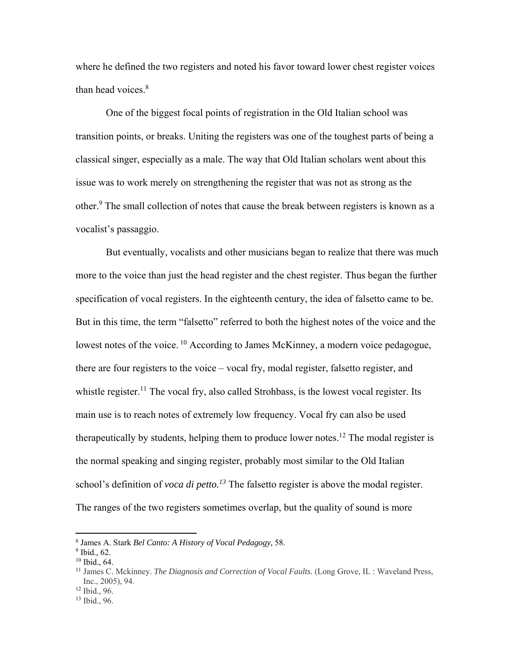where he defined the two registers and noted his favor toward lower chest register voices than head voices.<sup>8</sup>

One of the biggest focal points of registration in the Old Italian school was transition points, or breaks. Uniting the registers was one of the toughest parts of being a classical singer, especially as a male. The way that Old Italian scholars went about this issue was to work merely on strengthening the register that was not as strong as the other.<sup>9</sup> The small collection of notes that cause the break between registers is known as a vocalist's passaggio.

But eventually, vocalists and other musicians began to realize that there was much more to the voice than just the head register and the chest register. Thus began the further specification of vocal registers. In the eighteenth century, the idea of falsetto came to be. But in this time, the term "falsetto" referred to both the highest notes of the voice and the lowest notes of the voice. <sup>10</sup> According to James McKinney, a modern voice pedagogue, there are four registers to the voice – vocal fry, modal register, falsetto register, and whistle register.<sup>11</sup> The vocal fry, also called Strohbass, is the lowest vocal register. Its main use is to reach notes of extremely low frequency. Vocal fry can also be used therapeutically by students, helping them to produce lower notes.<sup>12</sup> The modal register is the normal speaking and singing register, probably most similar to the Old Italian school's definition of *voca di petto*.<sup>13</sup> The falsetto register is above the modal register. The ranges of the two registers sometimes overlap, but the quality of sound is more

<sup>8</sup> James A. Stark *Bel Canto: A History of Vocal Pedagogy,* 58.

<sup>9</sup> Ibid*.,* 62.

<sup>&</sup>lt;sup>10</sup> Ibid., 64.<br><sup>11</sup> James C. Mckinney. *The Diagnosis and Correction of Vocal Faults.* (Long Grove, IL: Waveland Press, Inc., 2005), 94.

<sup>12</sup> Ibid*.,* 96.

<sup>13</sup> Ibid., 96.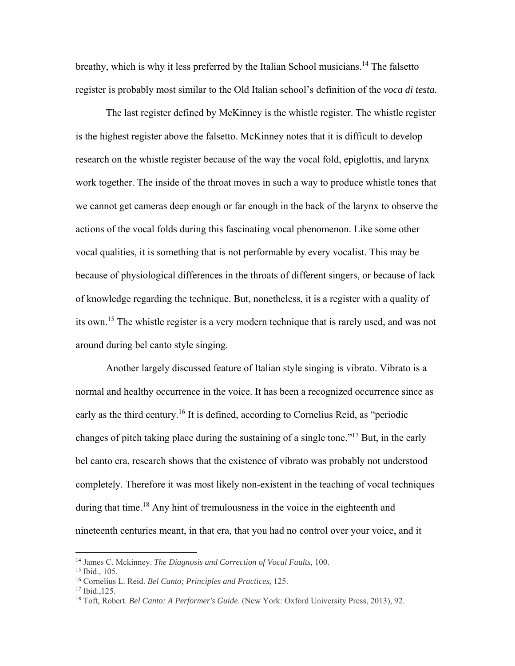breathy, which is why it less preferred by the Italian School musicians.<sup>14</sup> The falsetto register is probably most similar to the Old Italian school's definition of the *voca di testa.*

The last register defined by McKinney is the whistle register. The whistle register is the highest register above the falsetto. McKinney notes that it is difficult to develop research on the whistle register because of the way the vocal fold, epiglottis, and larynx work together. The inside of the throat moves in such a way to produce whistle tones that we cannot get cameras deep enough or far enough in the back of the larynx to observe the actions of the vocal folds during this fascinating vocal phenomenon. Like some other vocal qualities, it is something that is not performable by every vocalist. This may be because of physiological differences in the throats of different singers, or because of lack of knowledge regarding the technique. But, nonetheless, it is a register with a quality of its own.15 The whistle register is a very modern technique that is rarely used, and was not around during bel canto style singing.

Another largely discussed feature of Italian style singing is vibrato. Vibrato is a normal and healthy occurrence in the voice. It has been a recognized occurrence since as early as the third century.<sup>16</sup> It is defined, according to Cornelius Reid, as "periodic changes of pitch taking place during the sustaining of a single tone."17 But, in the early bel canto era, research shows that the existence of vibrato was probably not understood completely. Therefore it was most likely non-existent in the teaching of vocal techniques during that time.<sup>18</sup> Any hint of tremulousness in the voice in the eighteenth and nineteenth centuries meant, in that era, that you had no control over your voice, and it

<sup>14</sup> James C. Mckinney. *The Diagnosis and Correction of Vocal Faults,* 100.

<sup>15</sup> Ibid., 105.

<sup>16</sup> Cornelius L. Reid. *Bel Canto; Principles and Practices*, 125.

<sup>17</sup> Ibid.,125.

<sup>18</sup> Toft, Robert. *Bel Canto: A Performer's Guide*. (New York: Oxford University Press, 2013), 92.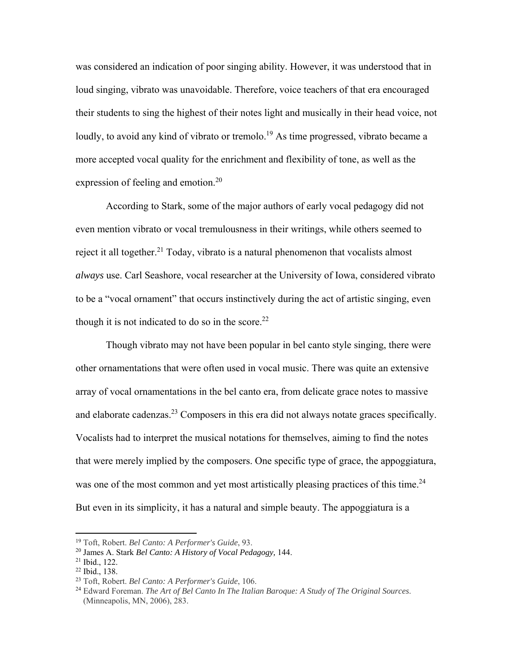was considered an indication of poor singing ability. However, it was understood that in loud singing, vibrato was unavoidable. Therefore, voice teachers of that era encouraged their students to sing the highest of their notes light and musically in their head voice, not loudly, to avoid any kind of vibrato or tremolo.<sup>19</sup> As time progressed, vibrato became a more accepted vocal quality for the enrichment and flexibility of tone, as well as the expression of feeling and emotion.<sup>20</sup>

According to Stark, some of the major authors of early vocal pedagogy did not even mention vibrato or vocal tremulousness in their writings, while others seemed to reject it all together.<sup>21</sup> Today, vibrato is a natural phenomenon that vocalists almost *always* use. Carl Seashore, vocal researcher at the University of Iowa, considered vibrato to be a "vocal ornament" that occurs instinctively during the act of artistic singing, even though it is not indicated to do so in the score.<sup>22</sup>

Though vibrato may not have been popular in bel canto style singing, there were other ornamentations that were often used in vocal music. There was quite an extensive array of vocal ornamentations in the bel canto era, from delicate grace notes to massive and elaborate cadenzas.<sup>23</sup> Composers in this era did not always notate graces specifically. Vocalists had to interpret the musical notations for themselves, aiming to find the notes that were merely implied by the composers. One specific type of grace, the appoggiatura, was one of the most common and yet most artistically pleasing practices of this time.<sup>24</sup> But even in its simplicity, it has a natural and simple beauty. The appoggiatura is a

<sup>19</sup> Toft, Robert. *Bel Canto: A Performer's Guide*, 93.

<sup>20</sup> James A. Stark *Bel Canto: A History of Vocal Pedagogy,* 144. 21 Ibid., 122.

<sup>22</sup> Ibid., 138. <sup>23</sup> Toft, Robert. *Bel Canto: A Performer's Guide*, 106.

<sup>24</sup> Edward Foreman. *The Art of Bel Canto In The Italian Baroque: A Study of The Original Sources*.

<sup>(</sup>Minneapolis, MN, 2006), 283.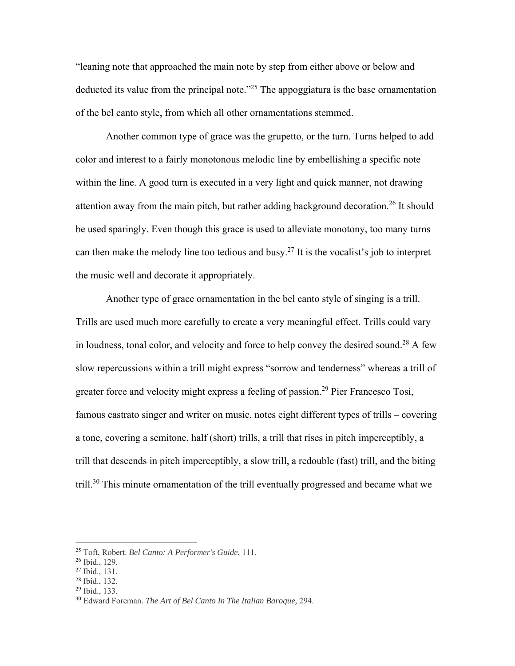"leaning note that approached the main note by step from either above or below and deducted its value from the principal note.<sup> $25$ </sup> The appoggiatura is the base ornamentation of the bel canto style, from which all other ornamentations stemmed.

Another common type of grace was the grupetto, or the turn. Turns helped to add color and interest to a fairly monotonous melodic line by embellishing a specific note within the line. A good turn is executed in a very light and quick manner, not drawing attention away from the main pitch, but rather adding background decoration.<sup>26</sup> It should be used sparingly. Even though this grace is used to alleviate monotony, too many turns can then make the melody line too tedious and busy.<sup>27</sup> It is the vocalist's job to interpret the music well and decorate it appropriately.

Another type of grace ornamentation in the bel canto style of singing is a trill. Trills are used much more carefully to create a very meaningful effect. Trills could vary in loudness, tonal color, and velocity and force to help convey the desired sound.28 A few slow repercussions within a trill might express "sorrow and tenderness" whereas a trill of greater force and velocity might express a feeling of passion.<sup>29</sup> Pier Francesco Tosi, famous castrato singer and writer on music, notes eight different types of trills – covering a tone, covering a semitone, half (short) trills, a trill that rises in pitch imperceptibly, a trill that descends in pitch imperceptibly, a slow trill, a redouble (fast) trill, and the biting trill.<sup>30</sup> This minute ornamentation of the trill eventually progressed and became what we

 

<sup>29</sup> Ibid., 133.

<sup>25</sup> Toft, Robert. *Bel Canto: A Performer's Guide*, 111.

<sup>26</sup> Ibid., 129.

<sup>27</sup> Ibid., 131.

<sup>28</sup> Ibid., 132.

<sup>30</sup> Edward Foreman. *The Art of Bel Canto In The Italian Baroque,* 294.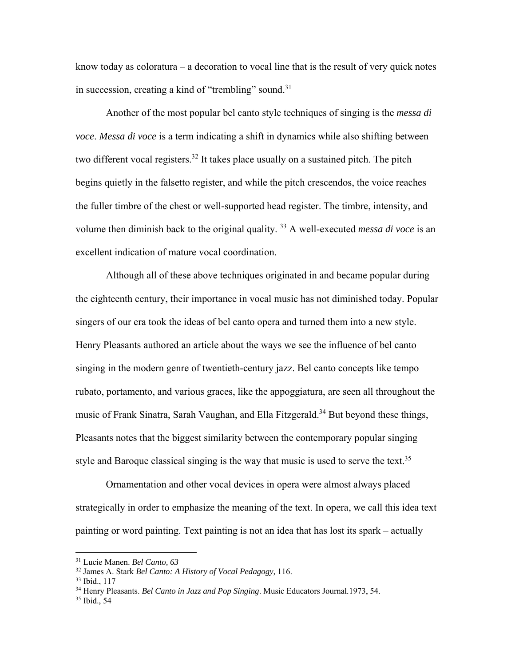know today as coloratura – a decoration to vocal line that is the result of very quick notes in succession, creating a kind of "trembling" sound.<sup>31</sup>

Another of the most popular bel canto style techniques of singing is the *messa di voce*. *Messa di voce* is a term indicating a shift in dynamics while also shifting between two different vocal registers.<sup>32</sup> It takes place usually on a sustained pitch. The pitch begins quietly in the falsetto register, and while the pitch crescendos, the voice reaches the fuller timbre of the chest or well-supported head register. The timbre, intensity, and volume then diminish back to the original quality. 33 A well-executed *messa di voce* is an excellent indication of mature vocal coordination.

Although all of these above techniques originated in and became popular during the eighteenth century, their importance in vocal music has not diminished today. Popular singers of our era took the ideas of bel canto opera and turned them into a new style. Henry Pleasants authored an article about the ways we see the influence of bel canto singing in the modern genre of twentieth-century jazz. Bel canto concepts like tempo rubato, portamento, and various graces, like the appoggiatura, are seen all throughout the music of Frank Sinatra, Sarah Vaughan, and Ella Fitzgerald.<sup>34</sup> But beyond these things, Pleasants notes that the biggest similarity between the contemporary popular singing style and Baroque classical singing is the way that music is used to serve the text.<sup>35</sup>

Ornamentation and other vocal devices in opera were almost always placed strategically in order to emphasize the meaning of the text. In opera, we call this idea text painting or word painting. Text painting is not an idea that has lost its spark – actually

<sup>31</sup> Lucie Manen. *Bel Canto, 63*

<sup>32</sup> James A. Stark *Bel Canto: A History of Vocal Pedagogy,* 116.

<sup>33</sup> Ibid., 117

<sup>34</sup> Henry Pleasants. *Bel Canto in Jazz and Pop Singing*. Music Educators Journal*.*1973, 54.

<sup>35</sup> Ibid., 54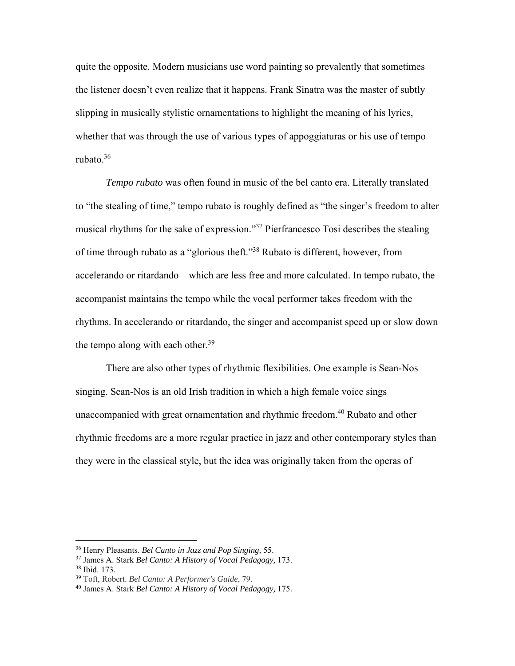quite the opposite. Modern musicians use word painting so prevalently that sometimes the listener doesn't even realize that it happens. Frank Sinatra was the master of subtly slipping in musically stylistic ornamentations to highlight the meaning of his lyrics, whether that was through the use of various types of appoggiaturas or his use of tempo rubato.36

*Tempo rubato* was often found in music of the bel canto era. Literally translated to "the stealing of time," tempo rubato is roughly defined as "the singer's freedom to alter musical rhythms for the sake of expression."37 Pierfrancesco Tosi describes the stealing of time through rubato as a "glorious theft."38 Rubato is different, however, from accelerando or ritardando – which are less free and more calculated. In tempo rubato, the accompanist maintains the tempo while the vocal performer takes freedom with the rhythms. In accelerando or ritardando, the singer and accompanist speed up or slow down the tempo along with each other.<sup>39</sup>

There are also other types of rhythmic flexibilities. One example is Sean-Nos singing. Sean-Nos is an old Irish tradition in which a high female voice sings unaccompanied with great ornamentation and rhythmic freedom.<sup>40</sup> Rubato and other rhythmic freedoms are a more regular practice in jazz and other contemporary styles than they were in the classical style, but the idea was originally taken from the operas of

<sup>36</sup> Henry Pleasants. *Bel Canto in Jazz and Pop Singing,* 55.

<sup>37</sup> James A. Stark *Bel Canto: A History of Vocal Pedagogy,* 173.

<sup>38</sup> Ibid. 173.

<sup>39</sup> Toft, Robert. *Bel Canto: A Performer's Guide*, 79.

<sup>40</sup> James A. Stark *Bel Canto: A History of Vocal Pedagogy,* 175.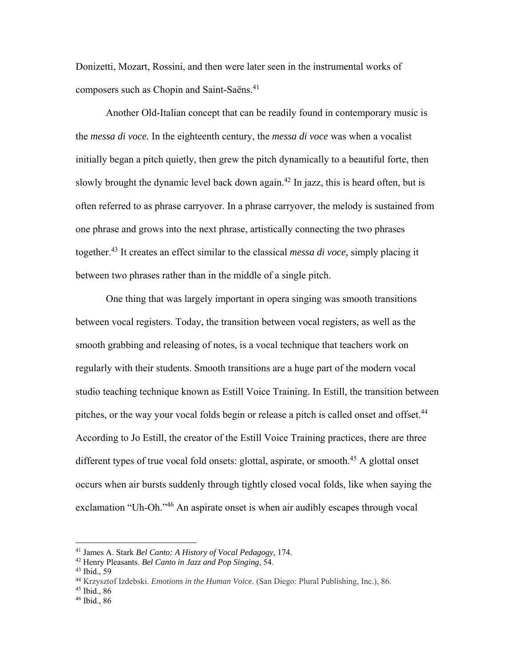Donizetti, Mozart, Rossini, and then were later seen in the instrumental works of composers such as Chopin and Saint-Saëns.<sup>41</sup>

Another Old-Italian concept that can be readily found in contemporary music is the *messa di voce.* In the eighteenth century, the *messa di voce* was when a vocalist initially began a pitch quietly, then grew the pitch dynamically to a beautiful forte, then slowly brought the dynamic level back down again.<sup>42</sup> In jazz, this is heard often, but is often referred to as phrase carryover. In a phrase carryover, the melody is sustained from one phrase and grows into the next phrase, artistically connecting the two phrases together.43 It creates an effect similar to the classical *messa di voce,* simply placing it between two phrases rather than in the middle of a single pitch.

One thing that was largely important in opera singing was smooth transitions between vocal registers. Today, the transition between vocal registers, as well as the smooth grabbing and releasing of notes, is a vocal technique that teachers work on regularly with their students. Smooth transitions are a huge part of the modern vocal studio teaching technique known as Estill Voice Training. In Estill, the transition between pitches, or the way your vocal folds begin or release a pitch is called onset and offset.<sup>44</sup> According to Jo Estill, the creator of the Estill Voice Training practices, there are three different types of true vocal fold onsets: glottal, aspirate, or smooth.<sup>45</sup> A glottal onset occurs when air bursts suddenly through tightly closed vocal folds, like when saying the exclamation "Uh-Oh."<sup>46</sup> An aspirate onset is when air audibly escapes through vocal

<sup>41</sup> James A. Stark *Bel Canto: A History of Vocal Pedagogy,* 174. 42 Henry Pleasants. *Bel Canto in Jazz and Pop Singing*, 54.

<sup>43</sup> Ibid., 59

<sup>44</sup> Krzysztof Izdebski. *Emotions in the Human Voice.* (San Diego: Plural Publishing, Inc.), 86.

 $45$  Ibid., 86

<sup>46</sup> Ibid., 86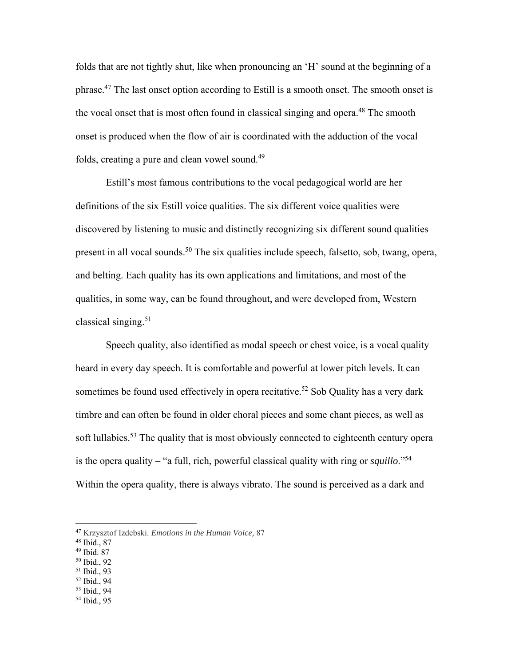folds that are not tightly shut, like when pronouncing an 'H' sound at the beginning of a phrase.<sup>47</sup> The last onset option according to Estill is a smooth onset. The smooth onset is the vocal onset that is most often found in classical singing and opera.<sup>48</sup> The smooth onset is produced when the flow of air is coordinated with the adduction of the vocal folds, creating a pure and clean vowel sound.<sup>49</sup>

Estill's most famous contributions to the vocal pedagogical world are her definitions of the six Estill voice qualities. The six different voice qualities were discovered by listening to music and distinctly recognizing six different sound qualities present in all vocal sounds.<sup>50</sup> The six qualities include speech, falsetto, sob, twang, opera, and belting. Each quality has its own applications and limitations, and most of the qualities, in some way, can be found throughout, and were developed from, Western classical singing. $51$ 

Speech quality, also identified as modal speech or chest voice, is a vocal quality heard in every day speech. It is comfortable and powerful at lower pitch levels. It can sometimes be found used effectively in opera recitative.<sup>52</sup> Sob Quality has a very dark timbre and can often be found in older choral pieces and some chant pieces, as well as soft lullabies.<sup>53</sup> The quality that is most obviously connected to eighteenth century opera is the opera quality – "a full, rich, powerful classical quality with ring or *squillo*."54 Within the opera quality, there is always vibrato. The sound is perceived as a dark and

- 49 Ibid. 87
- 50 Ibid., 92
- 51 Ibid., 93
- 52 Ibid., 94
- 53 Ibid., 94
- 54 Ibid., 95

<sup>47</sup> Krzysztof Izdebski. *Emotions in the Human Voice,* 87

<sup>48</sup> Ibid., 87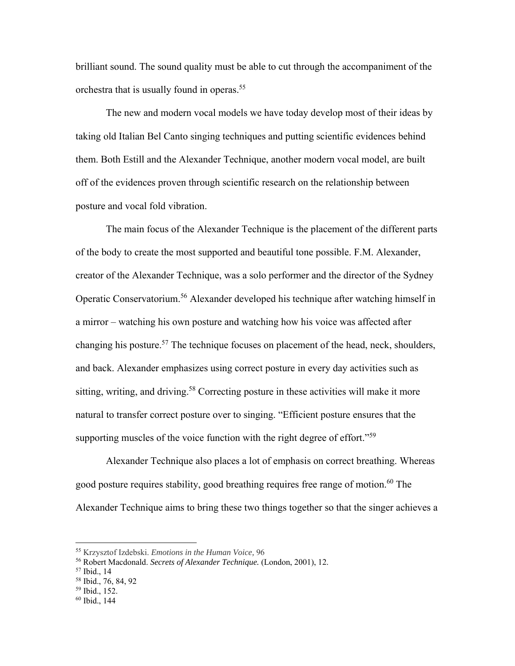brilliant sound. The sound quality must be able to cut through the accompaniment of the orchestra that is usually found in operas.<sup>55</sup>

The new and modern vocal models we have today develop most of their ideas by taking old Italian Bel Canto singing techniques and putting scientific evidences behind them. Both Estill and the Alexander Technique, another modern vocal model, are built off of the evidences proven through scientific research on the relationship between posture and vocal fold vibration.

The main focus of the Alexander Technique is the placement of the different parts of the body to create the most supported and beautiful tone possible. F.M. Alexander, creator of the Alexander Technique, was a solo performer and the director of the Sydney Operatic Conservatorium.56 Alexander developed his technique after watching himself in a mirror – watching his own posture and watching how his voice was affected after changing his posture.<sup>57</sup> The technique focuses on placement of the head, neck, shoulders, and back. Alexander emphasizes using correct posture in every day activities such as sitting, writing, and driving.<sup>58</sup> Correcting posture in these activities will make it more natural to transfer correct posture over to singing. "Efficient posture ensures that the supporting muscles of the voice function with the right degree of effort."<sup>59</sup>

Alexander Technique also places a lot of emphasis on correct breathing. Whereas good posture requires stability, good breathing requires free range of motion.<sup>60</sup> The Alexander Technique aims to bring these two things together so that the singer achieves a

<sup>55</sup> Krzysztof Izdebski. *Emotions in the Human Voice,* 96

<sup>56</sup> Robert Macdonald. *Secrets of Alexander Technique.* (London, 2001), 12. 57 Ibid., 14

<sup>58</sup> Ibid., 76, 84, 92

<sup>59</sup> Ibid., 152.

<sup>60</sup> Ibid., 144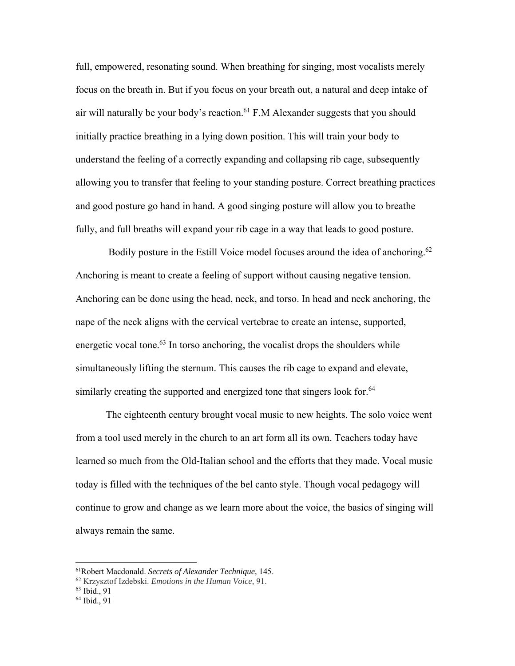full, empowered, resonating sound. When breathing for singing, most vocalists merely focus on the breath in. But if you focus on your breath out, a natural and deep intake of air will naturally be your body's reaction.<sup>61</sup> F.M Alexander suggests that you should initially practice breathing in a lying down position. This will train your body to understand the feeling of a correctly expanding and collapsing rib cage, subsequently allowing you to transfer that feeling to your standing posture. Correct breathing practices and good posture go hand in hand. A good singing posture will allow you to breathe fully, and full breaths will expand your rib cage in a way that leads to good posture.

Bodily posture in the Estill Voice model focuses around the idea of anchoring.<sup>62</sup> Anchoring is meant to create a feeling of support without causing negative tension. Anchoring can be done using the head, neck, and torso. In head and neck anchoring, the nape of the neck aligns with the cervical vertebrae to create an intense, supported, energetic vocal tone.<sup>63</sup> In torso anchoring, the vocalist drops the shoulders while simultaneously lifting the sternum. This causes the rib cage to expand and elevate, similarly creating the supported and energized tone that singers look for.<sup>64</sup>

The eighteenth century brought vocal music to new heights. The solo voice went from a tool used merely in the church to an art form all its own. Teachers today have learned so much from the Old-Italian school and the efforts that they made. Vocal music today is filled with the techniques of the bel canto style. Though vocal pedagogy will continue to grow and change as we learn more about the voice, the basics of singing will always remain the same.

<sup>61</sup>Robert Macdonald. *Secrets of Alexander Technique,* 145.

<sup>62</sup> Krzysztof Izdebski. *Emotions in the Human Voice,* 91.

<sup>63</sup> Ibid., 91

<sup>64</sup> Ibid., 91